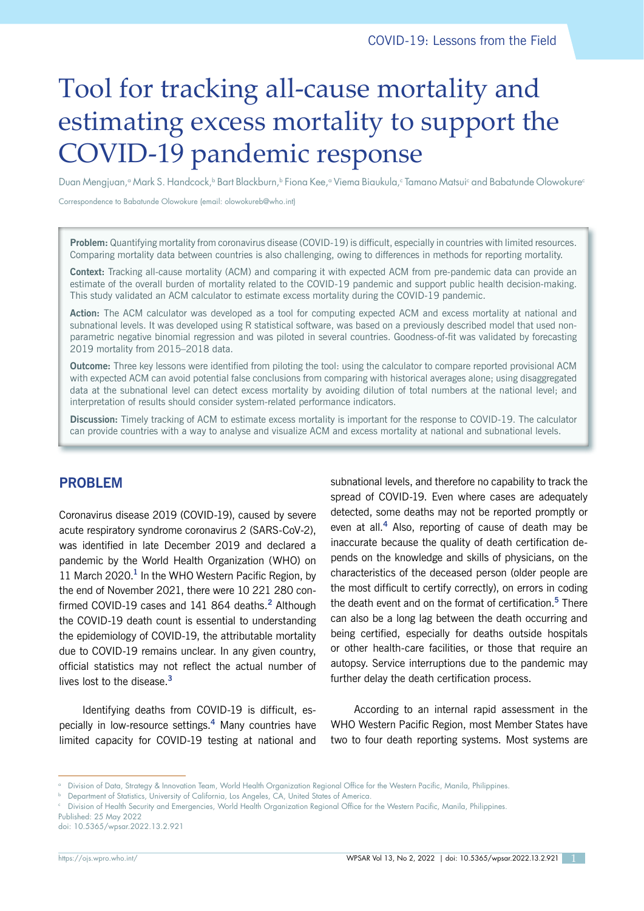# Tool for tracking all-cause mortality and estimating excess mortality to support the COVID-19 pandemic response

Duan Mengjuan,ª Mark S. Handcock,ʰ Bart Blackburn,ʰ Fiona Kee,ª Viema Biaukula,ª Tamano Matsuiª and Babatunde Olowokureª

Correspondence to Babatunde Olowokure (email: olowokureb@who.int)

**Problem:** Quantifying mortality from coronavirus disease (COVID-19) is difficult, especially in countries with limited resources. Comparing mortality data between countries is also challenging, owing to differences in methods for reporting mortality.

**Context:** Tracking all-cause mortality (ACM) and comparing it with expected ACM from pre-pandemic data can provide an estimate of the overall burden of mortality related to the COVID-19 pandemic and support public health decision-making. This study validated an ACM calculator to estimate excess mortality during the COVID-19 pandemic.

**Action:** The ACM calculator was developed as a tool for computing expected ACM and excess mortality at national and subnational levels. It was developed using R statistical software, was based on a previously described model that used nonparametric negative binomial regression and was piloted in several countries. Goodness-of-fit was validated by forecasting 2019 mortality from 2015–2018 data.

**Outcome:** Three key lessons were identified from piloting the tool: using the calculator to compare reported provisional ACM with expected ACM can avoid potential false conclusions from comparing with historical averages alone; using disaggregated data at the subnational level can detect excess mortality by avoiding dilution of total numbers at the national level; and interpretation of results should consider system-related performance indicators.

**Discussion:** Timely tracking of ACM to estimate excess mortality is important for the response to COVID-19. The calculator can provide countries with a way to analyse and visualize ACM and excess mortality at national and subnational levels.

## **PROBLEM**

Coronavirus disease 2019 (COVID-19), caused by severe acute respiratory syndrome coronavirus 2 (SARS-CoV-2), was identified in late December 2019 and declared a pandemic by the World Health Organization (WHO) on 11 March 2020.**<sup>1</sup>** In the WHO Western Pacific Region, by the end of November 2021, there were 10 221 280 confirmed COVID-19 cases and 141 864 deaths.**<sup>2</sup>** Although the COVID-19 death count is essential to understanding the epidemiology of COVID-19, the attributable mortality due to COVID-19 remains unclear. In any given country, official statistics may not reflect the actual number of lives lost to the disease.**<sup>3</sup>**

Identifying deaths from COVID-19 is difficult, especially in low-resource settings.**<sup>4</sup>** Many countries have limited capacity for COVID-19 testing at national and subnational levels, and therefore no capability to track the spread of COVID-19. Even where cases are adequately detected, some deaths may not be reported promptly or even at all.**<sup>4</sup>** Also, reporting of cause of death may be inaccurate because the quality of death certification depends on the knowledge and skills of physicians, on the characteristics of the deceased person (older people are the most difficult to certify correctly), on errors in coding the death event and on the format of certification.**<sup>5</sup>** There can also be a long lag between the death occurring and being certified, especially for deaths outside hospitals or other health-care facilities, or those that require an autopsy. Service interruptions due to the pandemic may further delay the death certification process.

According to an internal rapid assessment in the WHO Western Pacific Region, most Member States have two to four death reporting systems. Most systems are

Published: 25 May 2022 doi: 10.5365/wpsar.2022.13.2.921

<sup>a</sup> Division of Data, Strategy & Innovation Team, World Health Organization Regional Office for the Western Pacific, Manila, Philippines.

<sup>b</sup> Department of Statistics, University of California, Los Angeles, CA, United States of America.

<sup>c</sup> Division of Health Security and Emergencies, World Health Organization Regional Office for the Western Pacific, Manila, Philippines.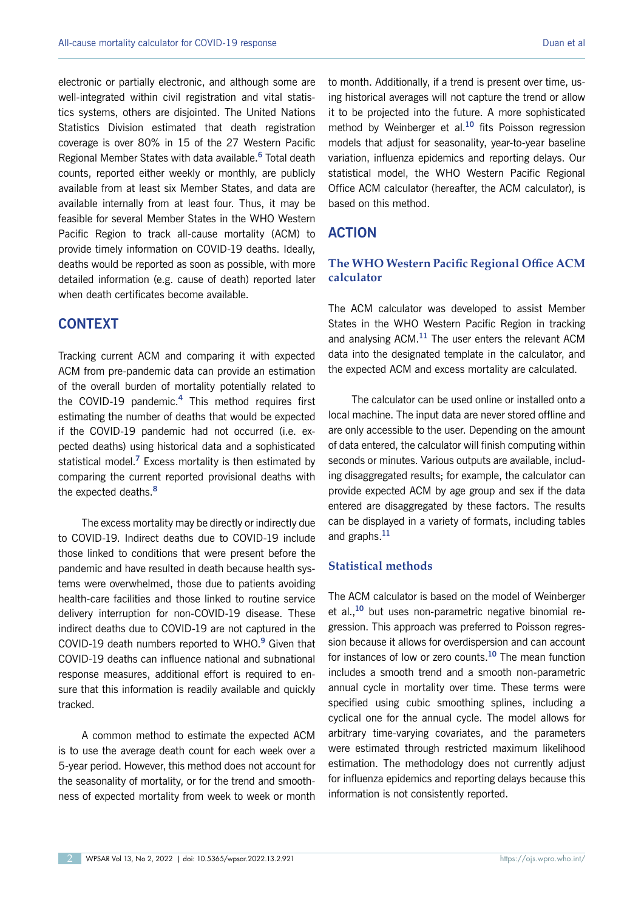electronic or partially electronic, and although some are well-integrated within civil registration and vital statistics systems, others are disjointed. The United Nations Statistics Division estimated that death registration coverage is over 80% in 15 of the 27 Western Pacific Regional Member States with data available.**<sup>6</sup>** Total death counts, reported either weekly or monthly, are publicly available from at least six Member States, and data are available internally from at least four. Thus, it may be feasible for several Member States in the WHO Western Pacific Region to track all-cause mortality (ACM) to provide timely information on COVID-19 deaths. Ideally, deaths would be reported as soon as possible, with more detailed information (e.g. cause of death) reported later when death certificates become available.

## **CONTEXT**

Tracking current ACM and comparing it with expected ACM from pre-pandemic data can provide an estimation of the overall burden of mortality potentially related to the COVID-19 pandemic.**<sup>4</sup>** This method requires first estimating the number of deaths that would be expected if the COVID-19 pandemic had not occurred (i.e. expected deaths) using historical data and a sophisticated statistical model.**<sup>7</sup>** Excess mortality is then estimated by comparing the current reported provisional deaths with the expected deaths.**<sup>8</sup>**

The excess mortality may be directly or indirectly due to COVID-19. Indirect deaths due to COVID-19 include those linked to conditions that were present before the pandemic and have resulted in death because health systems were overwhelmed, those due to patients avoiding health-care facilities and those linked to routine service delivery interruption for non-COVID-19 disease. These indirect deaths due to COVID-19 are not captured in the COVID-19 death numbers reported to WHO.**<sup>9</sup>** Given that COVID-19 deaths can influence national and subnational response measures, additional effort is required to ensure that this information is readily available and quickly tracked.

A common method to estimate the expected ACM is to use the average death count for each week over a 5-year period. However, this method does not account for the seasonality of mortality, or for the trend and smoothness of expected mortality from week to week or month

to month. Additionally, if a trend is present over time, using historical averages will not capture the trend or allow it to be projected into the future. A more sophisticated method by Weinberger et al.**<sup>10</sup>** fits Poisson regression models that adjust for seasonality, year-to-year baseline variation, influenza epidemics and reporting delays. Our statistical model, the WHO Western Pacific Regional Office ACM calculator (hereafter, the ACM calculator), is based on this method.

## **ACTION**

#### **The WHO Western Pacific Regional Office ACM calculator**

The ACM calculator was developed to assist Member States in the WHO Western Pacific Region in tracking and analysing ACM.**<sup>11</sup>** The user enters the relevant ACM data into the designated template in the calculator, and the expected ACM and excess mortality are calculated.

The calculator can be used online or installed onto a local machine. The input data are never stored offline and are only accessible to the user. Depending on the amount of data entered, the calculator will finish computing within seconds or minutes. Various outputs are available, including disaggregated results; for example, the calculator can provide expected ACM by age group and sex if the data entered are disaggregated by these factors. The results can be displayed in a variety of formats, including tables and graphs.**<sup>11</sup>**

#### **Statistical methods**

The ACM calculator is based on the model of Weinberger et al.,**<sup>10</sup>** but uses non-parametric negative binomial regression. This approach was preferred to Poisson regression because it allows for overdispersion and can account for instances of low or zero counts.**<sup>10</sup>** The mean function includes a smooth trend and a smooth non-parametric annual cycle in mortality over time. These terms were specified using cubic smoothing splines, including a cyclical one for the annual cycle. The model allows for arbitrary time-varying covariates, and the parameters were estimated through restricted maximum likelihood estimation. The methodology does not currently adjust for influenza epidemics and reporting delays because this information is not consistently reported.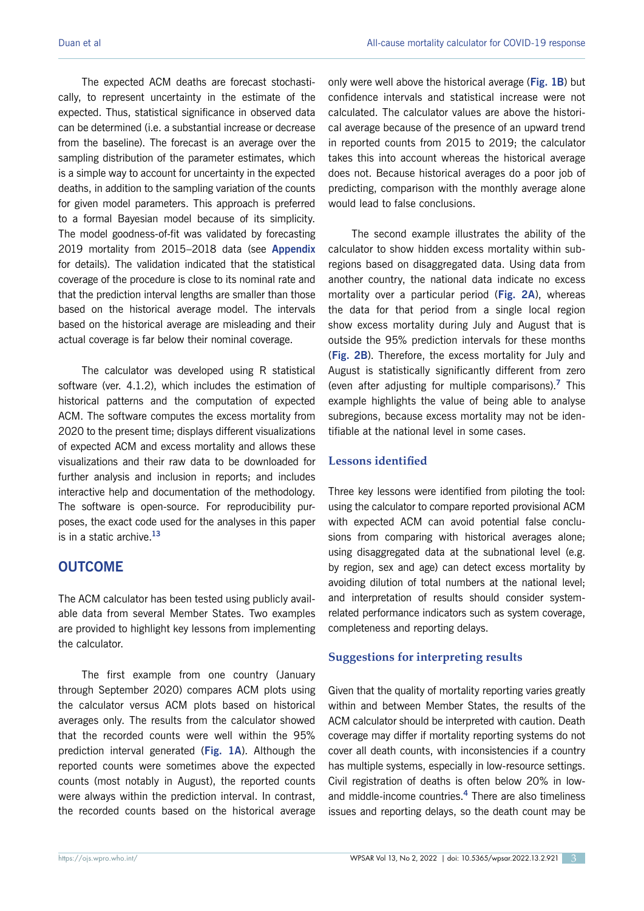The expected ACM deaths are forecast stochastically, to represent uncertainty in the estimate of the expected. Thus, statistical significance in observed data can be determined (i.e. a substantial increase or decrease from the baseline). The forecast is an average over the sampling distribution of the parameter estimates, which is a simple way to account for uncertainty in the expected deaths, in addition to the sampling variation of the counts for given model parameters. This approach is preferred to a formal Bayesian model because of its simplicity. The model goodness-of-fit was validated by forecasting 2019 mortality from 2015–2018 data (see **Appendix**  for details). The validation indicated that the statistical coverage of the procedure is close to its nominal rate and that the prediction interval lengths are smaller than those based on the historical average model. The intervals based on the historical average are misleading and their actual coverage is far below their nominal coverage.

The calculator was developed using R statistical software (ver. 4.1.2), which includes the estimation of historical patterns and the computation of expected ACM. The software computes the excess mortality from 2020 to the present time; displays different visualizations of expected ACM and excess mortality and allows these visualizations and their raw data to be downloaded for further analysis and inclusion in reports; and includes interactive help and documentation of the methodology. The software is open-source. For reproducibility purposes, the exact code used for the analyses in this paper is in a static archive.**<sup>13</sup>**

## **OUTCOME**

The ACM calculator has been tested using publicly available data from several Member States. Two examples are provided to highlight key lessons from implementing the calculator.

The first example from one country (January through September 2020) compares ACM plots using the calculator versus ACM plots based on historical averages only. The results from the calculator showed that the recorded counts were well within the 95% prediction interval generated (**Fig. 1A**). Although the reported counts were sometimes above the expected counts (most notably in August), the reported counts were always within the prediction interval. In contrast, the recorded counts based on the historical average

only were well above the historical average (**Fig. 1B**) but confidence intervals and statistical increase were not calculated. The calculator values are above the historical average because of the presence of an upward trend in reported counts from 2015 to 2019; the calculator takes this into account whereas the historical average does not. Because historical averages do a poor job of predicting, comparison with the monthly average alone would lead to false conclusions.

The second example illustrates the ability of the calculator to show hidden excess mortality within subregions based on disaggregated data. Using data from another country, the national data indicate no excess mortality over a particular period (**Fig. 2A**), whereas the data for that period from a single local region show excess mortality during July and August that is outside the 95% prediction intervals for these months (**Fig. 2B**). Therefore, the excess mortality for July and August is statistically significantly different from zero (even after adjusting for multiple comparisons).**<sup>7</sup>** This example highlights the value of being able to analyse subregions, because excess mortality may not be identifiable at the national level in some cases.

#### **Lessons identified**

Three key lessons were identified from piloting the tool: using the calculator to compare reported provisional ACM with expected ACM can avoid potential false conclusions from comparing with historical averages alone; using disaggregated data at the subnational level (e.g. by region, sex and age) can detect excess mortality by avoiding dilution of total numbers at the national level; and interpretation of results should consider systemrelated performance indicators such as system coverage, completeness and reporting delays.

#### **Suggestions for interpreting results**

Given that the quality of mortality reporting varies greatly within and between Member States, the results of the ACM calculator should be interpreted with caution. Death coverage may differ if mortality reporting systems do not cover all death counts, with inconsistencies if a country has multiple systems, especially in low-resource settings. Civil registration of deaths is often below 20% in lowand middle-income countries.**<sup>4</sup>** There are also timeliness issues and reporting delays, so the death count may be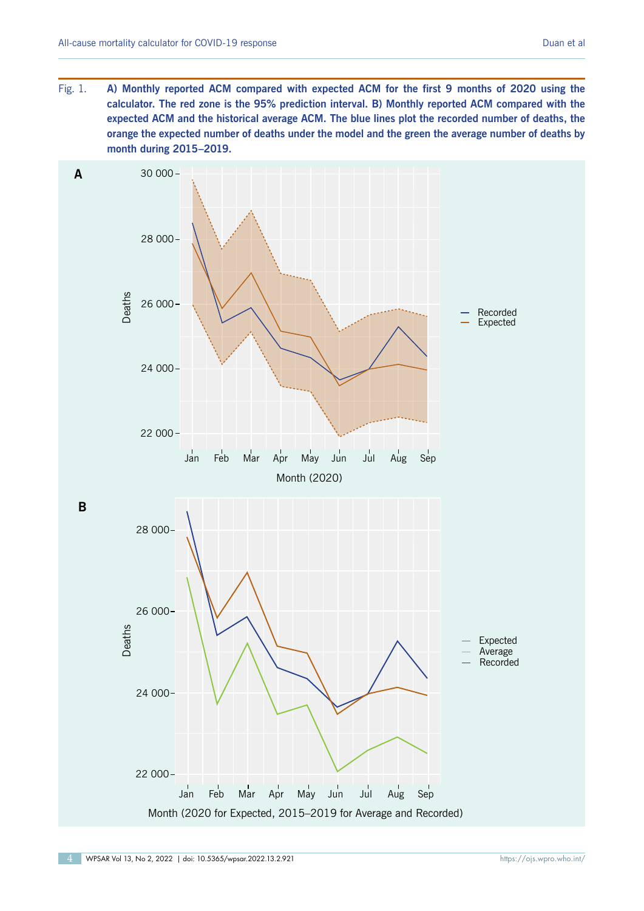Fig. 1. **A) Monthly reported ACM compared with expected ACM for the first 9 months of 2020 using the calculator. The red zone is the 95% prediction interval. B) Monthly reported ACM compared with the expected ACM and the historical average ACM. The blue lines plot the recorded number of deaths, the orange the expected number of deaths under the model and the green the average number of deaths by month during 2015–2019.**

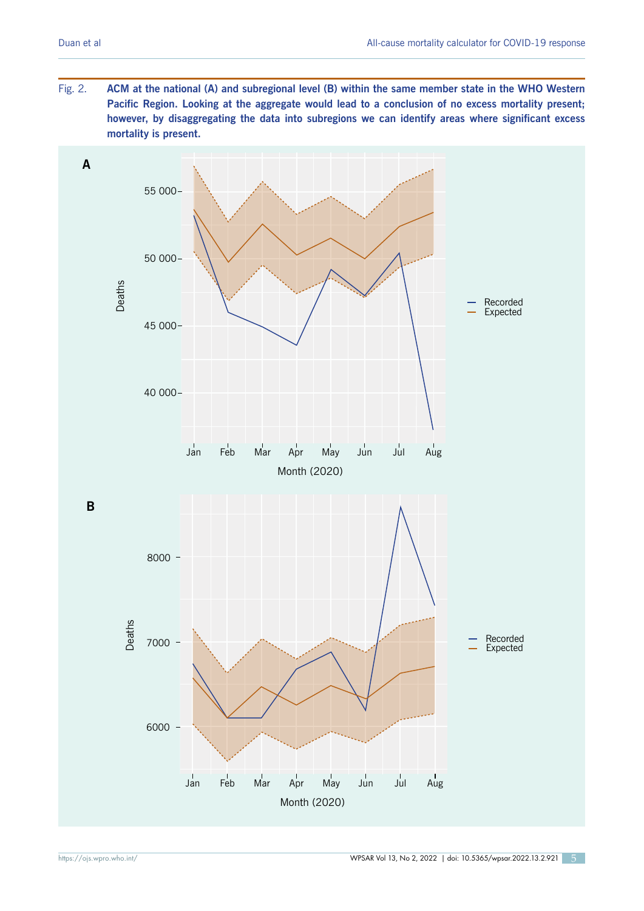Fig. 2. **ACM at the national (A) and subregional level (B) within the same member state in the WHO Western Pacific Region. Looking at the aggregate would lead to a conclusion of no excess mortality present; however, by disaggregating the data into subregions we can identify areas where significant excess mortality is present.**

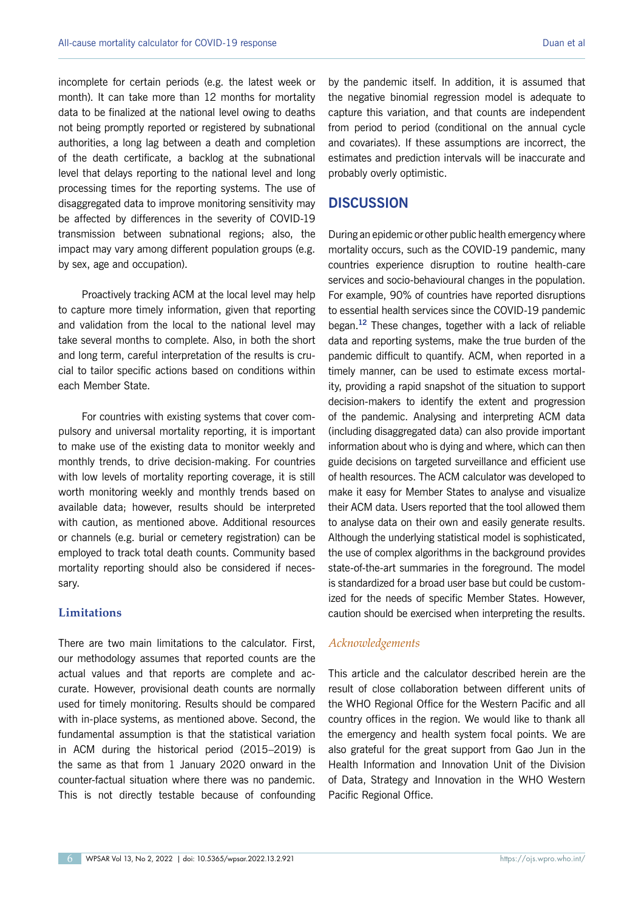incomplete for certain periods (e.g. the latest week or month). It can take more than 12 months for mortality data to be finalized at the national level owing to deaths not being promptly reported or registered by subnational authorities, a long lag between a death and completion of the death certificate, a backlog at the subnational level that delays reporting to the national level and long processing times for the reporting systems. The use of disaggregated data to improve monitoring sensitivity may be affected by differences in the severity of COVID-19 transmission between subnational regions; also, the impact may vary among different population groups (e.g. by sex, age and occupation).

Proactively tracking ACM at the local level may help to capture more timely information, given that reporting and validation from the local to the national level may take several months to complete. Also, in both the short and long term, careful interpretation of the results is crucial to tailor specific actions based on conditions within each Member State.

For countries with existing systems that cover compulsory and universal mortality reporting, it is important to make use of the existing data to monitor weekly and monthly trends, to drive decision-making. For countries with low levels of mortality reporting coverage, it is still worth monitoring weekly and monthly trends based on available data; however, results should be interpreted with caution, as mentioned above. Additional resources or channels (e.g. burial or cemetery registration) can be employed to track total death counts. Community based mortality reporting should also be considered if necessary.

## **Limitations**

There are two main limitations to the calculator. First, our methodology assumes that reported counts are the actual values and that reports are complete and accurate. However, provisional death counts are normally used for timely monitoring. Results should be compared with in-place systems, as mentioned above. Second, the fundamental assumption is that the statistical variation in ACM during the historical period (2015–2019) is the same as that from 1 January 2020 onward in the counter-factual situation where there was no pandemic. This is not directly testable because of confounding by the pandemic itself. In addition, it is assumed that the negative binomial regression model is adequate to capture this variation, and that counts are independent from period to period (conditional on the annual cycle and covariates). If these assumptions are incorrect, the estimates and prediction intervals will be inaccurate and probably overly optimistic.

## **DISCUSSION**

During an epidemic or other public health emergency where mortality occurs, such as the COVID-19 pandemic, many countries experience disruption to routine health-care services and socio-behavioural changes in the population. For example, 90% of countries have reported disruptions to essential health services since the COVID-19 pandemic began.**<sup>12</sup>** These changes, together with a lack of reliable data and reporting systems, make the true burden of the pandemic difficult to quantify. ACM, when reported in a timely manner, can be used to estimate excess mortality, providing a rapid snapshot of the situation to support decision-makers to identify the extent and progression of the pandemic. Analysing and interpreting ACM data (including disaggregated data) can also provide important information about who is dying and where, which can then guide decisions on targeted surveillance and efficient use of health resources. The ACM calculator was developed to make it easy for Member States to analyse and visualize their ACM data. Users reported that the tool allowed them to analyse data on their own and easily generate results. Although the underlying statistical model is sophisticated, the use of complex algorithms in the background provides state-of-the-art summaries in the foreground. The model is standardized for a broad user base but could be customized for the needs of specific Member States. However, caution should be exercised when interpreting the results.

## *Acknowledgements*

This article and the calculator described herein are the result of close collaboration between different units of the WHO Regional Office for the Western Pacific and all country offices in the region. We would like to thank all the emergency and health system focal points. We are also grateful for the great support from Gao Jun in the Health Information and Innovation Unit of the Division of Data, Strategy and Innovation in the WHO Western Pacific Regional Office.